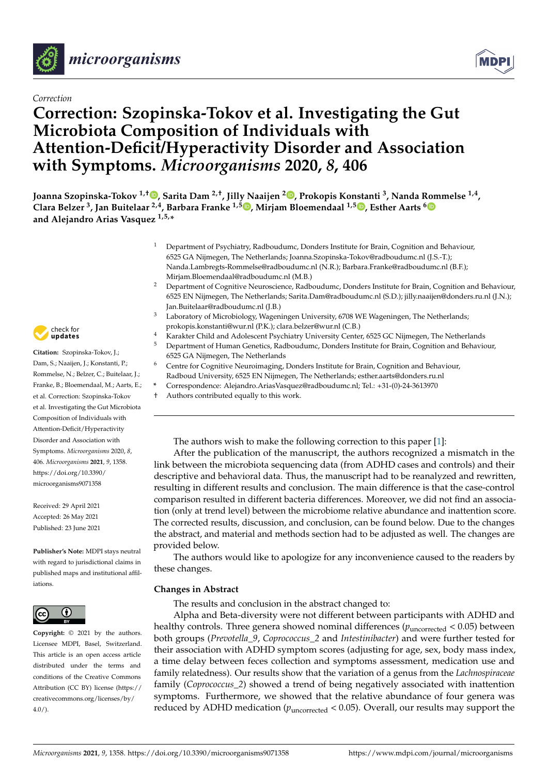

# *Correction*

# **Correction: Szopinska-Tokov et al. Investigating the Gut Microbiota Composition of Individuals with Attention-Deficit/Hyperactivity Disorder and Association with Symptoms.** *Microorganisms* **2020,** *8***, 406**

**Joanna Szopinska-Tokov 1,† [,](https://orcid.org/0000-0001-8608-5081) Sarita Dam 2,†, Jilly Naaijen <sup>2</sup> [,](https://orcid.org/0000-0002-3455-9043) Prokopis Konstanti <sup>3</sup> , Nanda Rommelse 1,4 , Clara Belzer <sup>3</sup> , Jan Buitelaar 2,4, Barbara Franke 1,5 [,](https://orcid.org/0000-0003-4375-6572) Mirjam Bloemendaal 1,5 [,](https://orcid.org/0000-0001-5897-0649) Esther Aarts [6](https://orcid.org/0000-0001-6360-6200) and Alejandro Arias Vasquez 1,5,\***

- <sup>1</sup> Department of Psychiatry, Radboudumc, Donders Institute for Brain, Cognition and Behaviour, 6525 GA Nijmegen, The Netherlands; Joanna.Szopinska-Tokov@radboudumc.nl (J.S.-T.); Nanda.Lambregts-Rommelse@radboudumc.nl (N.R.); Barbara.Franke@radboudumc.nl (B.F.); Mirjam.Bloemendaal@radboudumc.nl (M.B.)
- <sup>2</sup> Department of Cognitive Neuroscience, Radboudumc, Donders Institute for Brain, Cognition and Behaviour, 6525 EN Nijmegen, The Netherlands; Sarita.Dam@radboudumc.nl (S.D.); jilly.naaijen@donders.ru.nl (J.N.); Jan.Buitelaar@radboudumc.nl (J.B.)
- Laboratory of Microbiology, Wageningen University, 6708 WE Wageningen, The Netherlands; prokopis.konstanti@wur.nl (P.K.); clara.belzer@wur.nl (C.B.)
- <sup>4</sup> Karakter Child and Adolescent Psychiatry University Center, 6525 GC Nijmegen, The Netherlands
- <sup>5</sup> Department of Human Genetics, Radboudumc, Donders Institute for Brain, Cognition and Behaviour, 6525 GA Nijmegen, The Netherlands
- <sup>6</sup> Centre for Cognitive Neuroimaging, Donders Institute for Brain, Cognition and Behaviour, Radboud University, 6525 EN Nijmegen, The Netherlands; esther.aarts@donders.ru.nl
- **\*** Correspondence: Alejandro.AriasVasquez@radboudumc.nl; Tel.: +31-(0)-24-3613970
- † Authors contributed equally to this work.

The authors wish to make the following correction to this paper [\[1\]](#page-6-0):

After the publication of the manuscript, the authors recognized a mismatch in the link between the microbiota sequencing data (from ADHD cases and controls) and their descriptive and behavioral data. Thus, the manuscript had to be reanalyzed and rewritten, resulting in different results and conclusion. The main difference is that the case-control comparison resulted in different bacteria differences. Moreover, we did not find an association (only at trend level) between the microbiome relative abundance and inattention score. The corrected results, discussion, and conclusion, can be found below. Due to the changes the abstract, and material and methods section had to be adjusted as well. The changes are provided below.

The authors would like to apologize for any inconvenience caused to the readers by these changes.

# **Changes in Abstract**

The results and conclusion in the abstract changed to:

Alpha and Beta-diversity were not different between participants with ADHD and healthy controls. Three genera showed nominal differences ( $p_{\text{uncorrected}}$  < 0.05) between both groups (*Prevotella\_9*, *Coprococcus\_2* and *Intestinibacter*) and were further tested for their association with ADHD symptom scores (adjusting for age, sex, body mass index, a time delay between feces collection and symptoms assessment, medication use and family relatedness). Our results show that the variation of a genus from the *Lachnospiraceae* family (*Coprococcus\_2*) showed a trend of being negatively associated with inattention symptoms. Furthermore, we showed that the relative abundance of four genera was reduced by ADHD medication ( $p_{\text{uncorrected}} < 0.05$ ). Overall, our results may support the



**Citation:** Szopinska-Tokov, J.; Dam, S.; Naaijen, J.; Konstanti, P.; Rommelse, N.; Belzer, C.; Buitelaar, J.; Franke, B.; Bloemendaal, M.; Aarts, E.; et al. Correction: Szopinska-Tokov et al. Investigating the Gut Microbiota Composition of Individuals with Attention-Deficit/Hyperactivity Disorder and Association with Symptoms. *Microorganisms* 2020, *8*, 406. *Microorganisms* **2021**, *9*, 1358. [https://doi.org/10.3390/](https://doi.org/10.3390/microorganisms9071358) [microorganisms9071358](https://doi.org/10.3390/microorganisms9071358)

Received: 29 April 2021 Accepted: 26 May 2021 Published: 23 June 2021

**Publisher's Note:** MDPI stays neutral with regard to jurisdictional claims in published maps and institutional affiliations.



**Copyright:** © 2021 by the authors. Licensee MDPI, Basel, Switzerland. This article is an open access article distributed under the terms and conditions of the Creative Commons Attribution (CC BY) license (https:/[/](https://creativecommons.org/licenses/by/4.0/) [creativecommons.org/licenses/by/](https://creativecommons.org/licenses/by/4.0/)  $4.0/$ ).

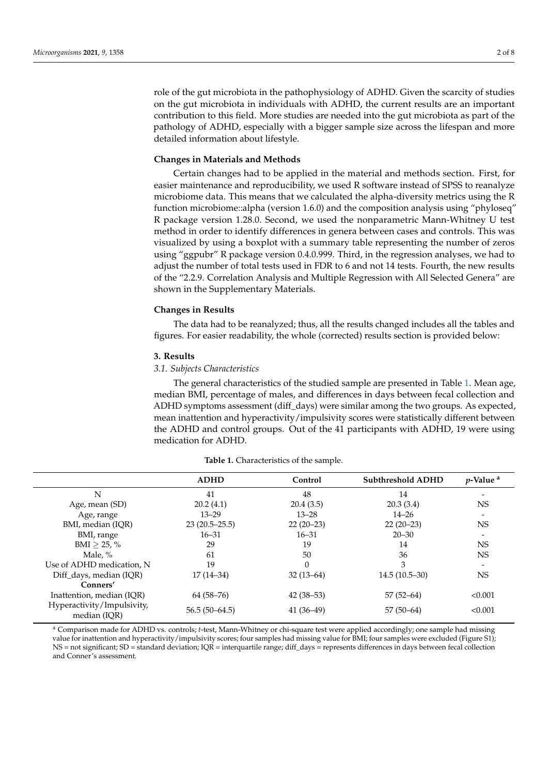role of the gut microbiota in the pathophysiology of ADHD. Given the scarcity of studies on the gut microbiota in individuals with ADHD, the current results are an important contribution to this field. More studies are needed into the gut microbiota as part of the pathology of ADHD, especially with a bigger sample size across the lifespan and more detailed information about lifestyle.

### **Changes in Materials and Methods**

Certain changes had to be applied in the material and methods section. First, for easier maintenance and reproducibility, we used R software instead of SPSS to reanalyze microbiome data. This means that we calculated the alpha-diversity metrics using the R function microbiome::alpha (version 1.6.0) and the composition analysis using "phyloseq" R package version 1.28.0. Second, we used the nonparametric Mann-Whitney U test method in order to identify differences in genera between cases and controls. This was visualized by using a boxplot with a summary table representing the number of zeros using "ggpubr" R package version 0.4.0.999. Third, in the regression analyses, we had to adjust the number of total tests used in FDR to 6 and not 14 tests. Fourth, the new results of the "2.2.9. Correlation Analysis and Multiple Regression with All Selected Genera" are shown in the Supplementary Materials.

## **Changes in Results**

The data had to be reanalyzed; thus, all the results changed includes all the tables and figures. For easier readability, the whole (corrected) results section is provided below:

## **3. Results**

## *3.1. Subjects Characteristics*

The general characteristics of the studied sample are presented in Table [1.](#page-1-0) Mean age, median BMI, percentage of males, and differences in days between fecal collection and ADHD symptoms assessment (diff\_days) were similar among the two groups. As expected, mean inattention and hyperactivity/impulsivity scores were statistically different between the ADHD and control groups. Out of the 41 participants with ADHD, 19 were using medication for ADHD.

<span id="page-1-0"></span>

|                                            | <b>ADHD</b>     | Control     | <b>Subthreshold ADHD</b> | $p$ -Value <sup>a</sup> |
|--------------------------------------------|-----------------|-------------|--------------------------|-------------------------|
| N                                          | 41              | 48          | 14                       |                         |
| Age, mean (SD)                             | 20.2(4.1)       | 20.4(3.5)   | 20.3(3.4)                | <b>NS</b>               |
| Age, range                                 | $13 - 29$       | $13 - 28$   | $14 - 26$                |                         |
| BMI, median (IQR)                          | $23(20.5-25.5)$ | $22(20-23)$ | $22(20-23)$              | <b>NS</b>               |
| BMI, range                                 | $16 - 31$       | $16 - 31$   | $20 - 30$                |                         |
| $BMI > 25, \%$                             | 29              | 19          | 14                       | <b>NS</b>               |
| Male. $%$                                  | 61              | 50          | 36                       | <b>NS</b>               |
| Use of ADHD medication, N                  | 19              | $\Omega$    | 3                        |                         |
| Diff_days, median (IQR)                    | 17 (14–34)      | $32(13-64)$ | $14.5(10.5-30)$          | <b>NS</b>               |
| Conners'                                   |                 |             |                          |                         |
| Inattention, median (IOR)                  | $64(58-76)$     | $42(38-53)$ | $57(52-64)$              | < 0.001                 |
| Hyperactivity/Impulsivity,<br>median (IQR) | $56.5(50-64.5)$ | $41(36-49)$ | $57(50-64)$              | < 0.001                 |

**Table 1.** Characteristics of the sample.

<sup>a</sup> Comparison made for ADHD vs. controls; *t*-test, Mann-Whitney or chi-square test were applied accordingly; one sample had missing value for inattention and hyperactivity/impulsivity scores; four samples had missing value for BMI; four samples were excluded (Figure S1); NS = not significant; SD = standard deviation; IQR = interquartile range; diff\_days = represents differences in days between fecal collection and Conner's assessment.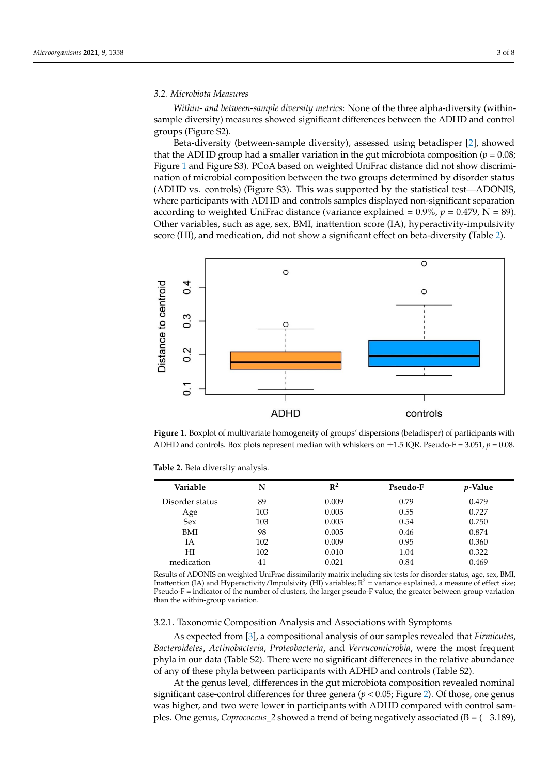# *3.2. Microbiota Measures 3.2. Microbiota Measures*

*Within- and between-sample diversity metrics*: None of the three alpha-diversity (within-*Within- and between-sample diversity metrics:* None of the three alpha-diversity (withinsample diversity) measures showed significant differences between the ADHD and control sample diversity) measures showed significant differences between the ADHD and groups (Figure S2).

significant; SD  $=$  standard deviation; IQR  $=$  interpretentation; differences differences differences differences; differences differences; differences; differences; differences; differences; differences; differences; di

Beta-diversity (between-sample diversity), assessed using betadisper [\[2\]](#page-6-1), showed Beta-diversity (between-sample diversity), assessed using betadisper [2], showed that the ADHD group had a smaller variation in the gut microbiota composition (*p* = 0.08; that the ADHD group had a smaller variation in the gut microbiota composition (*p* = 0.08; Figure  $1$  and Figure S3). PCoA based on weighted UniFrac distance did not show discrimination of microbial composition between the two groups determined by disorder status (ADHD vs. controls) (Figure S3). This was supported by the statistical test—ADONIS, where participants with ADHD and controls samples displayed non-significant separation according to weighted UniFrac distance (variance explained = 0.9%, *p* = 0.479, N = 89). according to weighted UniFrac distance (variance explained = 0.9%, *p* = 0.479, N = 89). Other variables, such as age, sex, BMI, inattention score (IA), hyperactivity-impulsivity Other variables, such as age, sex, BMI, inattention score (IA), hyperactivity-impulsivity score (HI), and medication, did not show a significant effect on beta-diversity (Table [2\)](#page-2-1). score (HI), and medication, did not show a significant effect on beta-diversity (Table 2).

<span id="page-2-0"></span>

**Figure 1.** Boxplot of multivariate homogeneity of groups' dispersions (betadisper) of participants **Figure 1.** Boxplot of multivariate homogeneity of groups' dispersions (betadisper) of participants with ADHD and controls. Box plots represent median with whiskers on  $\pm 1.5$  IQR. Pseudo-F = 3.051,  $p = 0.08$ .

| Variable        | N   | $\mathbb{R}^2$ | Pseudo-F | <i>v</i> -Value |
|-----------------|-----|----------------|----------|-----------------|
| Disorder status | 89  | 0.009          | 0.79     | 0.479           |
| Age             | 103 | 0.005          | 0.55     | 0.727           |
| <b>Sex</b>      | 103 | 0.005          | 0.54     | 0.750           |
| <b>BMI</b>      | 98  | 0.005          | 0.46     | 0.874           |
| ĪА              | 102 | 0.009          | 0.95     | 0.360           |
| НI              | 102 | 0.010          | 1.04     | 0.322           |
| medication      | 41  | 0.021          | 0.84     | 0.469           |

<span id="page-2-1"></span>**Table 2.** Beta diversity analysis. **Table 2.** Beta diversity analysis.

Results of ADONIS on weighted UniFrac dissimilarity matrix including six tests for disorder status, age, sex, BMI,<br>Inattontion (IA) and Hyporactivity (Impulsivity (HI) variables:  $R^2$  = variance explained, a measure of ef Pseudo-F = indicator of the number of clusters, the larger pseudo-F value, the greater between-group variation than the within-group variation. The mass of  $R$  is variation of variation  $R$  = variation. Inattention (IA) and Hyperactivity/Impulsivity (HI) variables;  $R^2$  = variance explained, a measure of effect size;

## 3.2.1. Taxonomic Composition Analysis and Associations with Symptoms

 *Bacteroidetes*, *Actinobacteria*, *Proteobacteria*, and *Verrucomicrobia*, were the most frequent As expected from [\[3\]](#page-6-2), a compositional analysis of our samples revealed that *Firmicutes*, phyla in our data (Table S2). There were no significant differences in the relative abundance of any of these phyla between participants with ADHD and controls (Table S2).

At the genus level, differences in the gut microbiota composition revealed nominal significant case-control differences for three genera ( $p < 0.05$ ; Figure [2\)](#page-3-0). Of those, one genus was higher, and two were lower in participants with ADHD compared with control samples. One genus, *Coprococcus\_2* showed a trend of being negatively associated (B = (−3.189),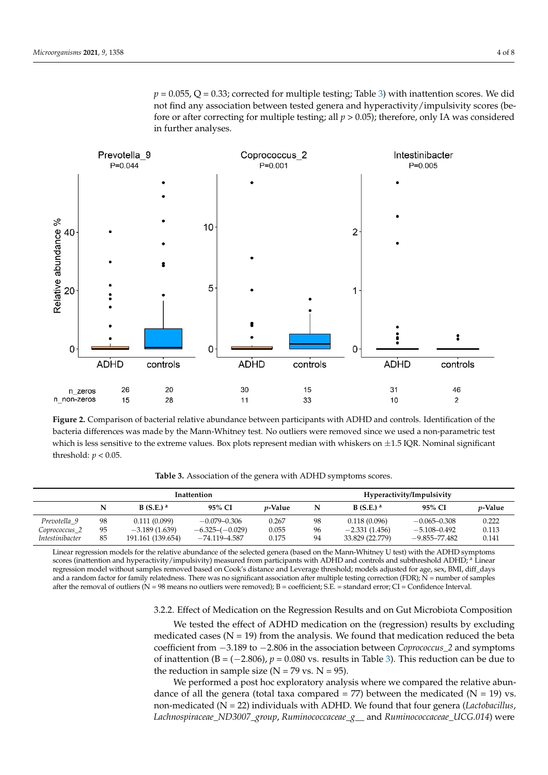$p = 0.055$ , Q = 0.33; corrected for multiple tes[tin](#page-3-1)g; Table 3) with inattention scores. We did not find any association between tested genera and hyperactivity/impulsivity scores (before or after correcting for multiple testing; all  $p > 0.05$ ); therefore, only IA was considered in further analyses.

was higher, and two were lower in participants with ADHD compared with control

<span id="page-3-0"></span>

bacteria differences was made by the Mann-Whitney test. No outliers were removed since we used a non-parametric test which is less sensitive to the extreme values. Box plots represent median with whiskers on  $\pm 1.5$  IQR. Nominal significant threshold:  $p < 0.05$ . **Figure 2.** Comparison of bacterial relative abundance between participants with ADHD and controls. Identification of the

**Table 3.** Association of the genera with ADHD symptoms scores.

<span id="page-3-1"></span>

|                        | <b>Inattention</b> |                      |                   |                 | Hyperactivity/Impulsivity |                      |                   |                 |
|------------------------|--------------------|----------------------|-------------------|-----------------|---------------------------|----------------------|-------------------|-----------------|
|                        | N                  | B(S.E.) <sup>a</sup> | 95% CI            | <i>p</i> -Value | N                         | B(S.E.) <sup>a</sup> | 95% CI            | <i>v</i> -Value |
| Prevotella 9           | 98                 | 0.111(0.099)         | $-0.079 - 0.306$  | 0.267           | 98                        | 0.118(0.096)         | $-0.065 - 0.308$  | 0.222           |
| Coprococcus_2          | 95                 | $-3.189(1.639)$      | $-6.325-(-0.029)$ | 0.055           | 96                        | $-2.331(1.456)$      | $-5.108 - 0.492$  | 0.113           |
| <i>Intestinibacter</i> | 85                 | 191.161 (139.654)    | $-74.119 - 4.587$ | 0.175           | 94                        | 33.829 (22.779)      | $-9.855 - 77.482$ | 0.141           |

Linear regression models for the relative abundance of the selected genera (based on the Mann-Whitney U test) with the ADHD symptoms scores (inattention and hyperactivity/impulsivity) measured from participants with ADHD and controls and subthreshold ADHD; <sup>a</sup> Linear<br>regression model without samples removed based on Cook's distance and Leverage threshol after the removal of outliers ( $N = 98$  means no outliers were removed); B = coefficient; S.E. = standard error; CI = Confidence Interval. 77.482 0.141 scores (inattention and hyperactivity/impulsivity) measured from participants with ADHD and controls and subthreshold ADHD; <sup>a</sup> Linear and a random factor for family relatedness. There was no significant association after multiple testing correction (FDR);  $N =$  number of samples

3.2.2. Effect of Medication on the Regression Results and on Gut Microbiota Composition

We tested the effect of ADHD medication on the (regression) results by excluding medicated cases ( $N = 19$ ) from the analysis. We found that medication reduced the beta coefficient from −3.189 to −2.806 in the association between *Coprococcus\_2* and symptoms of inattention ( $B = (-2.806)$ ,  $p = 0.080$  vs. results in Table [3\)](#page-3-1). This reduction can be due to the reduction in sample size  $(N = 79$  vs.  $N = 95$ ).

We performed a post hoc exploratory analysis where we compared the relative abundance of all the genera (total taxa compared  $= 77$ ) between the medicated (N  $= 19$ ) vs. non-medicated (N = 22) individuals with ADHD. We found that four genera (*Lactobacillus*, *Lachnospiraceae\_ND3007\_group*, *Ruminococcaceae\_g\_\_* and *Ruminococcaceae\_UCG.014*) were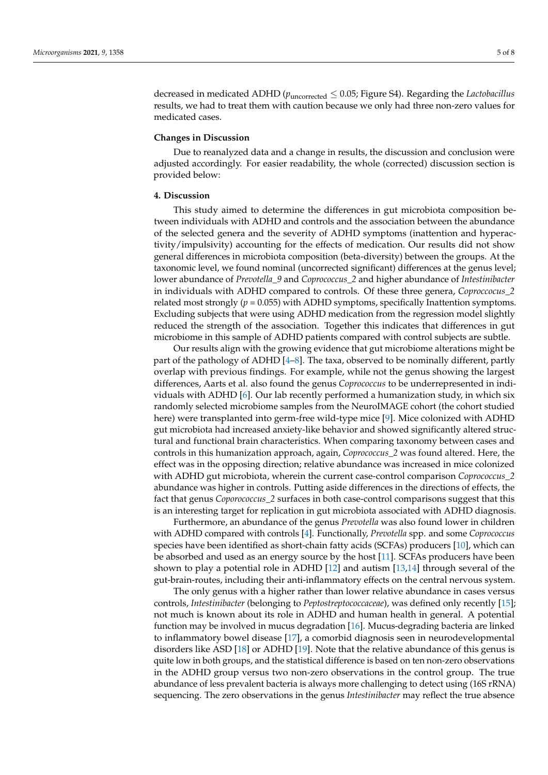decreased in medicated ADHD ( $p_{uncorrected} \leq 0.05$ ; Figure S4). Regarding the *Lactobacillus* results, we had to treat them with caution because we only had three non-zero values for medicated cases.

#### **Changes in Discussion**

Due to reanalyzed data and a change in results, the discussion and conclusion were adjusted accordingly. For easier readability, the whole (corrected) discussion section is provided below:

## **4. Discussion**

This study aimed to determine the differences in gut microbiota composition between individuals with ADHD and controls and the association between the abundance of the selected genera and the severity of ADHD symptoms (inattention and hyperactivity/impulsivity) accounting for the effects of medication. Our results did not show general differences in microbiota composition (beta-diversity) between the groups. At the taxonomic level, we found nominal (uncorrected significant) differences at the genus level; lower abundance of *Prevotella\_9* and *Coprococcus\_2* and higher abundance of *Intestinibacter* in individuals with ADHD compared to controls. Of these three genera, *Coproccocus\_2* related most strongly  $(p = 0.055)$  with ADHD symptoms, specifically Inattention symptoms. Excluding subjects that were using ADHD medication from the regression model slightly reduced the strength of the association. Together this indicates that differences in gut microbiome in this sample of ADHD patients compared with control subjects are subtle.

Our results align with the growing evidence that gut microbiome alterations might be part of the pathology of ADHD [\[4](#page-6-3)[–8\]](#page-6-4). The taxa, observed to be nominally different, partly overlap with previous findings. For example, while not the genus showing the largest differences, Aarts et al. also found the genus *Coprococcus* to be underrepresented in individuals with ADHD [\[6\]](#page-6-5). Our lab recently performed a humanization study, in which six randomly selected microbiome samples from the NeuroIMAGE cohort (the cohort studied here) were transplanted into germ-free wild-type mice [\[9\]](#page-6-6). Mice colonized with ADHD gut microbiota had increased anxiety-like behavior and showed significantly altered structural and functional brain characteristics. When comparing taxonomy between cases and controls in this humanization approach, again, *Coprococcus\_2* was found altered. Here, the effect was in the opposing direction; relative abundance was increased in mice colonized with ADHD gut microbiota, wherein the current case-control comparison *Coprococcus\_2* abundance was higher in controls. Putting aside differences in the directions of effects, the fact that genus *Coporococcus\_2* surfaces in both case-control comparisons suggest that this is an interesting target for replication in gut microbiota associated with ADHD diagnosis.

Furthermore, an abundance of the genus *Prevotella* was also found lower in children with ADHD compared with controls [\[4\]](#page-6-3). Functionally, *Prevotella* spp. and some *Coprococcus* species have been identified as short-chain fatty acids (SCFAs) producers [\[10\]](#page-6-7), which can be absorbed and used as an energy source by the host [\[11\]](#page-6-8). SCFAs producers have been shown to play a potential role in ADHD [\[12\]](#page-6-9) and autism [\[13](#page-6-10)[,14\]](#page-6-11) through several of the gut-brain-routes, including their anti-inflammatory effects on the central nervous system.

The only genus with a higher rather than lower relative abundance in cases versus controls, *Intestinibacter* (belonging to *Peptostreptococcaceae*), was defined only recently [\[15\]](#page-7-0); not much is known about its role in ADHD and human health in general. A potential function may be involved in mucus degradation [\[16\]](#page-7-1). Mucus-degrading bacteria are linked to inflammatory bowel disease [\[17\]](#page-7-2), a comorbid diagnosis seen in neurodevelopmental disorders like ASD [\[18\]](#page-7-3) or ADHD [\[19\]](#page-7-4). Note that the relative abundance of this genus is quite low in both groups, and the statistical difference is based on ten non-zero observations in the ADHD group versus two non-zero observations in the control group. The true abundance of less prevalent bacteria is always more challenging to detect using (16S rRNA) sequencing. The zero observations in the genus *Intestinibacter* may reflect the true absence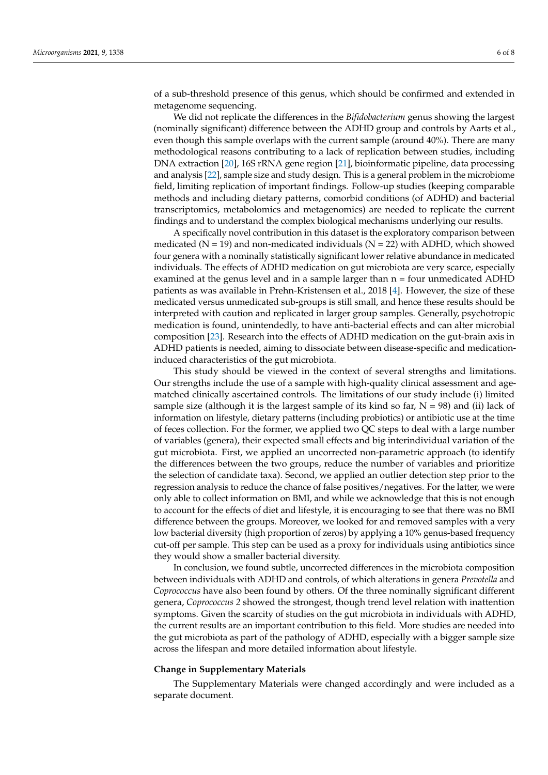of a sub-threshold presence of this genus, which should be confirmed and extended in metagenome sequencing.

We did not replicate the differences in the *Bifidobacterium* genus showing the largest (nominally significant) difference between the ADHD group and controls by Aarts et al., even though this sample overlaps with the current sample (around 40%). There are many methodological reasons contributing to a lack of replication between studies, including DNA extraction [\[20\]](#page-7-5), 16S rRNA gene region [\[21\]](#page-7-6), bioinformatic pipeline, data processing and analysis [\[22\]](#page-7-7), sample size and study design. This is a general problem in the microbiome field, limiting replication of important findings. Follow-up studies (keeping comparable methods and including dietary patterns, comorbid conditions (of ADHD) and bacterial transcriptomics, metabolomics and metagenomics) are needed to replicate the current findings and to understand the complex biological mechanisms underlying our results.

A specifically novel contribution in this dataset is the exploratory comparison between medicated ( $N = 19$ ) and non-medicated individuals ( $N = 22$ ) with ADHD, which showed four genera with a nominally statistically significant lower relative abundance in medicated individuals. The effects of ADHD medication on gut microbiota are very scarce, especially examined at the genus level and in a sample larger than  $n = four$  unmedicated ADHD patients as was available in Prehn-Kristensen et al., 2018 [\[4\]](#page-6-3). However, the size of these medicated versus unmedicated sub-groups is still small, and hence these results should be interpreted with caution and replicated in larger group samples. Generally, psychotropic medication is found, unintendedly, to have anti-bacterial effects and can alter microbial composition [\[23\]](#page-7-8). Research into the effects of ADHD medication on the gut-brain axis in ADHD patients is needed, aiming to dissociate between disease-specific and medicationinduced characteristics of the gut microbiota.

This study should be viewed in the context of several strengths and limitations. Our strengths include the use of a sample with high-quality clinical assessment and agematched clinically ascertained controls. The limitations of our study include (i) limited sample size (although it is the largest sample of its kind so far,  $N = 98$ ) and (ii) lack of information on lifestyle, dietary patterns (including probiotics) or antibiotic use at the time of feces collection. For the former, we applied two QC steps to deal with a large number of variables (genera), their expected small effects and big interindividual variation of the gut microbiota. First, we applied an uncorrected non-parametric approach (to identify the differences between the two groups, reduce the number of variables and prioritize the selection of candidate taxa). Second, we applied an outlier detection step prior to the regression analysis to reduce the chance of false positives/negatives. For the latter, we were only able to collect information on BMI, and while we acknowledge that this is not enough to account for the effects of diet and lifestyle, it is encouraging to see that there was no BMI difference between the groups. Moreover, we looked for and removed samples with a very low bacterial diversity (high proportion of zeros) by applying a 10% genus-based frequency cut-off per sample. This step can be used as a proxy for individuals using antibiotics since they would show a smaller bacterial diversity.

In conclusion, we found subtle, uncorrected differences in the microbiota composition between individuals with ADHD and controls, of which alterations in genera *Prevotella* and *Coprococcus* have also been found by others. Of the three nominally significant different genera, *Coprococcus 2* showed the strongest, though trend level relation with inattention symptoms. Given the scarcity of studies on the gut microbiota in individuals with ADHD, the current results are an important contribution to this field. More studies are needed into the gut microbiota as part of the pathology of ADHD, especially with a bigger sample size across the lifespan and more detailed information about lifestyle.

# **Change in Supplementary Materials**

The Supplementary Materials were changed accordingly and were included as a separate document.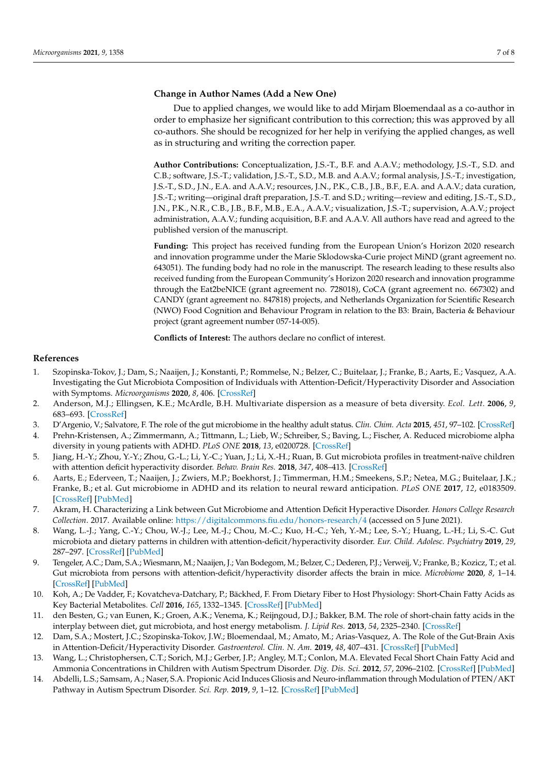# **Change in Author Names (Add a New One)**

Due to applied changes, we would like to add Mirjam Bloemendaal as a co-author in order to emphasize her significant contribution to this correction; this was approved by all co-authors. She should be recognized for her help in verifying the applied changes, as well as in structuring and writing the correction paper.

**Author Contributions:** Conceptualization, J.S.-T., B.F. and A.A.V.; methodology, J.S.-T., S.D. and C.B.; software, J.S.-T.; validation, J.S.-T., S.D., M.B. and A.A.V.; formal analysis, J.S.-T.; investigation, J.S.-T., S.D., J.N., E.A. and A.A.V.; resources, J.N., P.K., C.B., J.B., B.F., E.A. and A.A.V.; data curation, J.S.-T.; writing—original draft preparation, J.S.-T. and S.D.; writing—review and editing, J.S.-T., S.D., J.N., P.K., N.R., C.B., J.B., B.F., M.B., E.A., A.A.V.; visualization, J.S.-T.; supervision, A.A.V.; project administration, A.A.V.; funding acquisition, B.F. and A.A.V. All authors have read and agreed to the published version of the manuscript.

**Funding:** This project has received funding from the European Union's Horizon 2020 research and innovation programme under the Marie Sklodowska-Curie project MiND (grant agreement no. 643051). The funding body had no role in the manuscript. The research leading to these results also received funding from the European Community's Horizon 2020 research and innovation programme through the Eat2beNICE (grant agreement no. 728018), CoCA (grant agreement no. 667302) and CANDY (grant agreement no. 847818) projects, and Netherlands Organization for Scientific Research (NWO) Food Cognition and Behaviour Program in relation to the B3: Brain, Bacteria & Behaviour project (grant agreement number 057-14-005).

**Conflicts of Interest:** The authors declare no conflict of interest.

## **References**

- <span id="page-6-0"></span>1. Szopinska-Tokov, J.; Dam, S.; Naaijen, J.; Konstanti, P.; Rommelse, N.; Belzer, C.; Buitelaar, J.; Franke, B.; Aarts, E.; Vasquez, A.A. Investigating the Gut Microbiota Composition of Individuals with Attention-Deficit/Hyperactivity Disorder and Association with Symptoms. *Microorganisms* **2020**, *8*, 406. [\[CrossRef\]](http://doi.org/10.3390/microorganisms8030406)
- <span id="page-6-1"></span>2. Anderson, M.J.; Ellingsen, K.E.; McArdle, B.H. Multivariate dispersion as a measure of beta diversity. *Ecol. Lett.* **2006**, *9*, 683–693. [\[CrossRef\]](http://doi.org/10.1111/j.1461-0248.2006.00926.x)
- <span id="page-6-2"></span>3. D'Argenio, V.; Salvatore, F. The role of the gut microbiome in the healthy adult status. *Clin. Chim. Acta* **2015**, *451*, 97–102. [\[CrossRef\]](http://doi.org/10.1016/j.cca.2015.01.003)
- <span id="page-6-3"></span>4. Prehn-Kristensen, A.; Zimmermann, A.; Tittmann, L.; Lieb, W.; Schreiber, S.; Baving, L.; Fischer, A. Reduced microbiome alpha diversity in young patients with ADHD. *PLoS ONE* **2018**, *13*, e0200728. [\[CrossRef\]](http://doi.org/10.1371/journal.pone.0200728)
- 5. Jiang, H.-Y.; Zhou, Y.-Y.; Zhou, G.-L.; Li, Y.-C.; Yuan, J.; Li, X.-H.; Ruan, B. Gut microbiota profiles in treatment-naïve children with attention deficit hyperactivity disorder. *Behav. Brain Res.* **2018**, *347*, 408–413. [\[CrossRef\]](http://doi.org/10.1016/j.bbr.2018.03.036)
- <span id="page-6-5"></span>6. Aarts, E.; Ederveen, T.; Naaijen, J.; Zwiers, M.P.; Boekhorst, J.; Timmerman, H.M.; Smeekens, S.P.; Netea, M.G.; Buitelaar, J.K.; Franke, B.; et al. Gut microbiome in ADHD and its relation to neural reward anticipation. *PLoS ONE* **2017**, *12*, e0183509. [\[CrossRef\]](http://doi.org/10.1371/journal.pone.0183509) [\[PubMed\]](http://www.ncbi.nlm.nih.gov/pubmed/28863139)
- 7. Akram, H. Characterizing a Link between Gut Microbiome and Attention Deficit Hyperactive Disorder. *Honors College Research Collection*. 2017. Available online: <https://digitalcommons.fiu.edu/honors-research/4> (accessed on 5 June 2021).
- <span id="page-6-4"></span>8. Wang, L.-J.; Yang, C.-Y.; Chou, W.-J.; Lee, M.-J.; Chou, M.-C.; Kuo, H.-C.; Yeh, Y.-M.; Lee, S.-Y.; Huang, L.-H.; Li, S.-C. Gut microbiota and dietary patterns in children with attention-deficit/hyperactivity disorder. *Eur. Child. Adolesc. Psychiatry* **2019**, *29*, 287–297. [\[CrossRef\]](http://doi.org/10.1007/s00787-019-01352-2) [\[PubMed\]](http://www.ncbi.nlm.nih.gov/pubmed/31119393)
- <span id="page-6-6"></span>9. Tengeler, A.C.; Dam, S.A.; Wiesmann, M.; Naaijen, J.; Van Bodegom, M.; Belzer, C.; Dederen, P.J.; Verweij, V.; Franke, B.; Kozicz, T.; et al. Gut microbiota from persons with attention-deficit/hyperactivity disorder affects the brain in mice. *Microbiome* **2020**, *8*, 1–14. [\[CrossRef\]](http://doi.org/10.1186/s40168-020-00816-x) [\[PubMed\]](http://www.ncbi.nlm.nih.gov/pubmed/32238191)
- <span id="page-6-7"></span>10. Koh, A.; De Vadder, F.; Kovatcheva-Datchary, P.; Bäckhed, F. From Dietary Fiber to Host Physiology: Short-Chain Fatty Acids as Key Bacterial Metabolites. *Cell* **2016**, *165*, 1332–1345. [\[CrossRef\]](http://doi.org/10.1016/j.cell.2016.05.041) [\[PubMed\]](http://www.ncbi.nlm.nih.gov/pubmed/27259147)
- <span id="page-6-8"></span>11. den Besten, G.; van Eunen, K.; Groen, A.K.; Venema, K.; Reijngoud, D.J.; Bakker, B.M. The role of short-chain fatty acids in the interplay between diet, gut microbiota, and host energy metabolism. *J. Lipid Res.* **2013**, *54*, 2325–2340. [\[CrossRef\]](http://doi.org/10.1194/jlr.R036012)
- <span id="page-6-9"></span>12. Dam, S.A.; Mostert, J.C.; Szopinska-Tokov, J.W.; Bloemendaal, M.; Amato, M.; Arias-Vasquez, A. The Role of the Gut-Brain Axis in Attention-Deficit/Hyperactivity Disorder. *Gastroenterol. Clin. N. Am.* **2019**, *48*, 407–431. [\[CrossRef\]](http://doi.org/10.1016/j.gtc.2019.05.001) [\[PubMed\]](http://www.ncbi.nlm.nih.gov/pubmed/31383279)
- <span id="page-6-10"></span>13. Wang, L.; Christophersen, C.T.; Sorich, M.J.; Gerber, J.P.; Angley, M.T.; Conlon, M.A. Elevated Fecal Short Chain Fatty Acid and Ammonia Concentrations in Children with Autism Spectrum Disorder. *Dig. Dis. Sci.* **2012**, *57*, 2096–2102. [\[CrossRef\]](http://doi.org/10.1007/s10620-012-2167-7) [\[PubMed\]](http://www.ncbi.nlm.nih.gov/pubmed/22535281)
- <span id="page-6-11"></span>14. Abdelli, L.S.; Samsam, A.; Naser, S.A. Propionic Acid Induces Gliosis and Neuro-inflammation through Modulation of PTEN/AKT Pathway in Autism Spectrum Disorder. *Sci. Rep.* **2019**, *9*, 1–12. [\[CrossRef\]](http://doi.org/10.1038/s41598-019-45348-z) [\[PubMed\]](http://www.ncbi.nlm.nih.gov/pubmed/31217543)